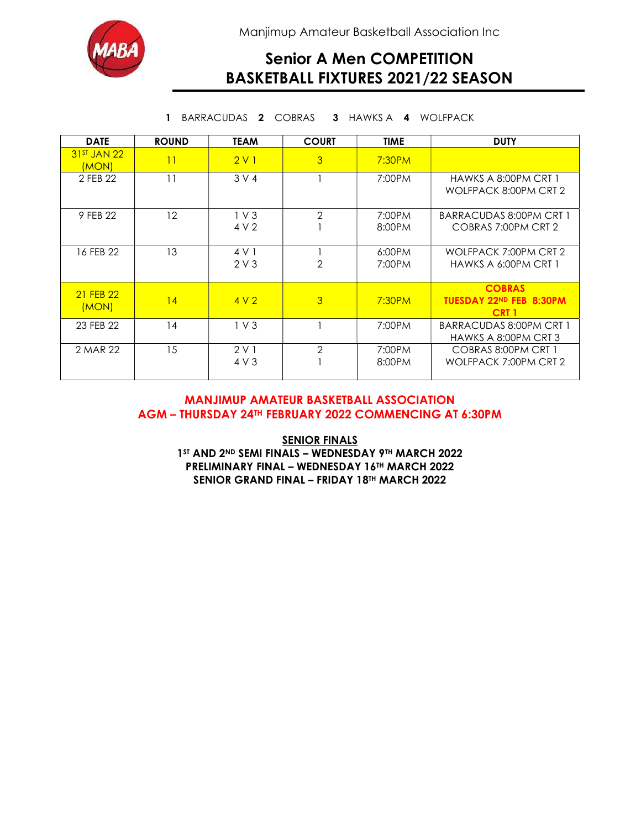



## Senior A Men COMPETITION BASKETBALL FIXTURES 2021/22 SEASON

1 BARRACUDAS 2 COBRAS 3 HAWKS A 4 WOLFPACK

| <b>DATE</b>            | <b>ROUND</b> | <b>TEAM</b>     | <b>COURT</b>   | <b>TIME</b> | <b>DUTY</b>                                                  |
|------------------------|--------------|-----------------|----------------|-------------|--------------------------------------------------------------|
| $31ST$ JAN 22<br>(MON) | 11           | 2V1             | 3              | 7:30PM      |                                                              |
| 2 FFB 22               | 11           | 3 V 4           |                | 7:00PM      | HAWKS A 8:00PM CRT 1<br>WOLFPACK 8:00PM CRT 2                |
| 9 FEB 22               | 12           | $1V$ 3          | $\mathcal{P}$  | 7:00PM      | <b>BARRACUDAS 8:00PM CRT 1</b>                               |
|                        |              | 4 V 2           |                | 8:00PM      | COBRAS 7:00PM CRT 2                                          |
| 16 FEB 22              | 13           | 4 V 1           |                | 6:00PM      | WOLFPACK 7:00PM CRT 2                                        |
|                        |              | 2V3             | $\overline{2}$ | 7:00PM      | HAWKS A 6:00PM CRT 1                                         |
| 21 FEB 22<br>(MON)     | 14           | 4V <sub>2</sub> | 3              | 7:30PM      | <b>COBRAS</b><br>TUESDAY 22ND FEB 8:30PM<br>CRT <sub>1</sub> |
| 23 FEB 22              | 14           | $1V$ 3          |                | 7:00PM      | <b>BARRACUDAS 8:00PM CRT 1</b><br>HAWKS A 8:00PM CRT 3       |
| 2 MAR 22               | 15           | 2V1             | $\overline{2}$ | 7:00PM      | COBRAS 8:00PM CRT 1                                          |
|                        |              | 4 V 3           |                | 8:00PM      | WOLFPACK 7:00PM CRT 2                                        |

### MANJIMUP AMATEUR BASKETBALL ASSOCIATION AGM – THURSDAY 24TH FEBRUARY 2022 COMMENCING AT 6:30PM

**SENIOR FINALS** 1ST AND 2ND SEMI FINALS - WEDNESDAY 9TH MARCH 2022 PRELIMINARY FINAL – WEDNESDAY 16TH MARCH 2022 SENIOR GRAND FINAL - FRIDAY 18TH MARCH 2022